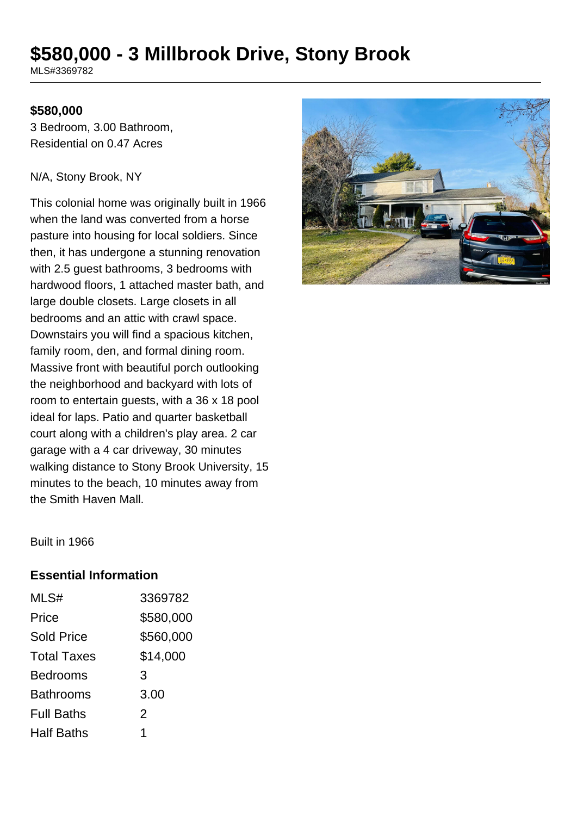# **\$580,000 - 3 Millbrook Drive, Stony Brook**

MLS#3369782

#### **\$580,000**

3 Bedroom, 3.00 Bathroom, Residential on 0.47 Acres

#### N/A, Stony Brook, NY

This colonial home was originally built in 1966 when the land was converted from a horse pasture into housing for local soldiers. Since then, it has undergone a stunning renovation with 2.5 guest bathrooms, 3 bedrooms with hardwood floors, 1 attached master bath, and large double closets. Large closets in all bedrooms and an attic with crawl space. Downstairs you will find a spacious kitchen, family room, den, and formal dining room. Massive front with beautiful porch outlooking the neighborhood and backyard with lots of room to entertain guests, with a 36 x 18 pool ideal for laps. Patio and quarter basketball court along with a children's play area. 2 car garage with a 4 car driveway, 30 minutes walking distance to Stony Brook University, 15 minutes to the beach, 10 minutes away from the Smith Haven Mall.



Built in 1966

#### **Essential Information**

| MLS#               | 3369782        |
|--------------------|----------------|
| Price              | \$580,000      |
| <b>Sold Price</b>  | \$560,000      |
| <b>Total Taxes</b> | \$14,000       |
| <b>Bedrooms</b>    | 3              |
| <b>Bathrooms</b>   | 3.00           |
| <b>Full Baths</b>  | $\overline{2}$ |
| <b>Half Baths</b>  | 1              |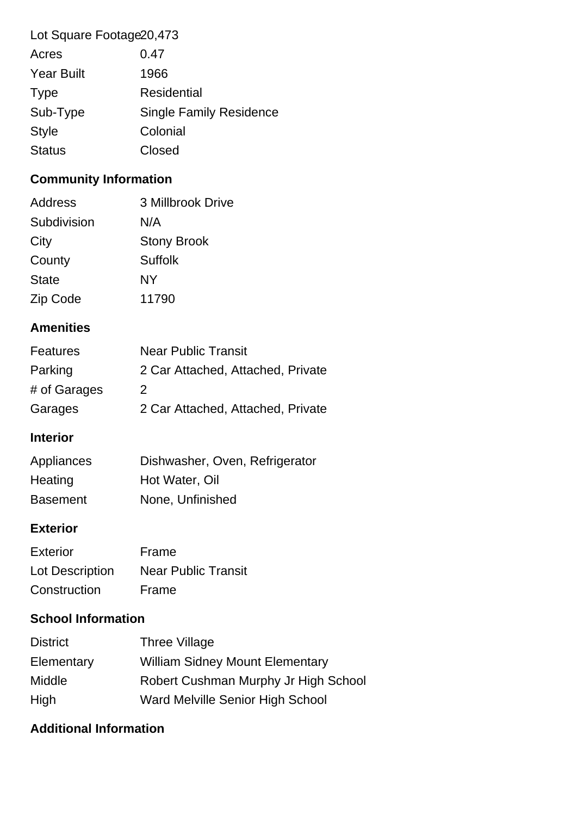| Lot Square Footage 20,473 |                                |
|---------------------------|--------------------------------|
| Acres                     | 0.47                           |
| <b>Year Built</b>         | 1966                           |
| <b>Type</b>               | <b>Residential</b>             |
| Sub-Type                  | <b>Single Family Residence</b> |
| <b>Style</b>              | Colonial                       |

## Status **Closed**

### **Community Information**

| 3 Millbrook Drive  |
|--------------------|
| N/A                |
| <b>Stony Brook</b> |
| <b>Suffolk</b>     |
| <b>NY</b>          |
| 11790              |
|                    |

### **Amenities**

| <b>Features</b> | <b>Near Public Transit</b>        |
|-----------------|-----------------------------------|
| Parking         | 2 Car Attached, Attached, Private |
| # of Garages    | 2                                 |
| Garages         | 2 Car Attached, Attached, Private |

#### **Interior**

| Appliances      | Dishwasher, Oven, Refrigerator |
|-----------------|--------------------------------|
| Heating         | Hot Water, Oil                 |
| <b>Basement</b> | None, Unfinished               |

#### **Exterior**

| Exterior        | Frame                      |
|-----------------|----------------------------|
| Lot Description | <b>Near Public Transit</b> |
| Construction    | Frame                      |

### **School Information**

| <b>District</b> | Three Village                          |
|-----------------|----------------------------------------|
| Elementary      | <b>William Sidney Mount Elementary</b> |
| <b>Middle</b>   | Robert Cushman Murphy Jr High School   |
| High            | Ward Melville Senior High School       |

### **Additional Information**